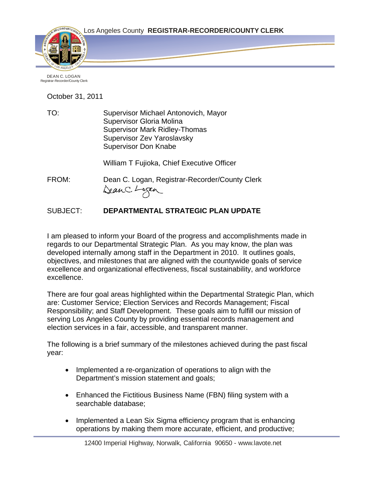

DEAN C. LOGAN Registrar-Recorder/County Clerk

October 31, 2011

TO: Supervisor Michael Antonovich, Mayor Supervisor Gloria Molina Supervisor Mark Ridley-Thomas Supervisor Zev Yaroslavsky Supervisor Don Knabe

William T Fujioka, Chief Executive Officer

FROM: Dean C. Logan, Registrar-Recorder/County Clerk DeanC. Logan

## SUBJECT: **DEPARTMENTAL STRATEGIC PLAN UPDATE**

I am pleased to inform your Board of the progress and accomplishments made in regards to our Departmental Strategic Plan. As you may know, the plan was developed internally among staff in the Department in 2010. It outlines goals, objectives, and milestones that are aligned with the countywide goals of service excellence and organizational effectiveness, fiscal sustainability, and workforce excellence.

There are four goal areas highlighted within the Departmental Strategic Plan, which are: Customer Service; Election Services and Records Management; Fiscal Responsibility; and Staff Development. These goals aim to fulfill our mission of serving Los Angeles County by providing essential records management and election services in a fair, accessible, and transparent manner.

The following is a brief summary of the milestones achieved during the past fiscal year:

- Implemented a re-organization of operations to align with the Department's mission statement and goals;
- Enhanced the Fictitious Business Name (FBN) filing system with a searchable database;
- Implemented a Lean Six Sigma efficiency program that is enhancing operations by making them more accurate, efficient, and productive;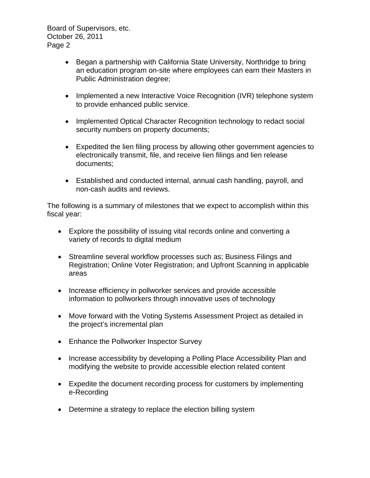Board of Supervisors, etc. October 26, 2011 Page 2

- Began a partnership with California State University, Northridge to bring an education program on-site where employees can earn their Masters in Public Administration degree;
- Implemented a new Interactive Voice Recognition (IVR) telephone system to provide enhanced public service.
- Implemented Optical Character Recognition technology to redact social security numbers on property documents;
- Expedited the lien filing process by allowing other government agencies to electronically transmit, file, and receive lien filings and lien release documents;
- Established and conducted internal, annual cash handling, payroll, and non-cash audits and reviews.

The following is a summary of milestones that we expect to accomplish within this fiscal year:

- Explore the possibility of issuing vital records online and converting a variety of records to digital medium
- Streamline several workflow processes such as; Business Filings and Registration; Online Voter Registration; and Upfront Scanning in applicable areas
- Increase efficiency in pollworker services and provide accessible information to pollworkers through innovative uses of technology
- Move forward with the Voting Systems Assessment Project as detailed in the project's incremental plan
- Enhance the Pollworker Inspector Survey
- Increase accessibility by developing a Polling Place Accessibility Plan and modifying the website to provide accessible election related content
- Expedite the document recording process for customers by implementing e-Recording
- Determine a strategy to replace the election billing system